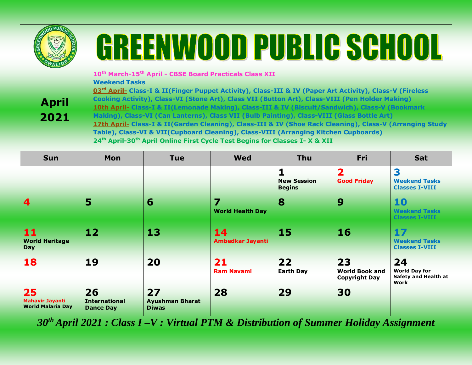| $\overline{0}$ PUR <sub>1</sub>                                                                                                                                                                                                                                                                                                                                                                                                                                                                                                                                                                                                                                                                                                                                                                                                               |                                                | GREENWOOD PUBLIC SCHOOL                      |                                                    |                                          |                                                     |                                                            |
|-----------------------------------------------------------------------------------------------------------------------------------------------------------------------------------------------------------------------------------------------------------------------------------------------------------------------------------------------------------------------------------------------------------------------------------------------------------------------------------------------------------------------------------------------------------------------------------------------------------------------------------------------------------------------------------------------------------------------------------------------------------------------------------------------------------------------------------------------|------------------------------------------------|----------------------------------------------|----------------------------------------------------|------------------------------------------|-----------------------------------------------------|------------------------------------------------------------|
| 10 <sup>th</sup> March-15 <sup>th</sup> April - CBSE Board Practicals Class XII<br><b>Weekend Tasks</b><br>03 <sup>rd</sup> April- Class-I & II(Finger Puppet Activity), Class-III & IV (Paper Art Activity), Class-V (Fireless<br>Cooking Activity), Class-VI (Stone Art), Class VII (Button Art), Class-VIII (Pen Holder Making)<br><b>April</b><br>10th April- Class-I & II(Lemonade Making), Class-III & IV (Biscuit/Sandwich), Class-V (Bookmark<br>Making), Class-VI (Can Lanterns), Class VII (Bulb Painting), Class-VIII (Glass Bottle Art)<br>2021<br>17th April- Class-I & II(Garden Cleaning), Class-III & IV (Shoe Rack Cleaning), Class-V (Arranging Study<br>Table), Class-VI & VII(Cupboard Cleaning), Class-VIII (Arranging Kitchen Cupboards)<br>24th April-30th April Online First Cycle Test Begins for Classes I- X & XII |                                                |                                              |                                                    |                                          |                                                     |                                                            |
| <b>Sun</b>                                                                                                                                                                                                                                                                                                                                                                                                                                                                                                                                                                                                                                                                                                                                                                                                                                    | Mon                                            | <b>Tue</b>                                   | <b>Wed</b>                                         | <b>Thu</b>                               | Fri                                                 | <b>Sat</b>                                                 |
|                                                                                                                                                                                                                                                                                                                                                                                                                                                                                                                                                                                                                                                                                                                                                                                                                                               |                                                |                                              |                                                    | 1<br><b>New Session</b><br><b>Begins</b> | $\overline{\mathbf{2}}$<br><b>Good Friday</b>       | 3<br><b>Weekend Tasks</b><br><b>Classes I-VIII</b>         |
| 4                                                                                                                                                                                                                                                                                                                                                                                                                                                                                                                                                                                                                                                                                                                                                                                                                                             | 5                                              | 6                                            | $\overline{\mathbf{z}}$<br><b>World Health Day</b> | 8                                        | 9                                                   | 10<br><b>Weekend Tasks</b><br><b>Classes I-VIII</b>        |
| 11<br><b>World Heritage</b><br><b>Day</b>                                                                                                                                                                                                                                                                                                                                                                                                                                                                                                                                                                                                                                                                                                                                                                                                     | 12                                             | 13                                           | 14<br><b>Ambedkar Jayanti</b>                      | 15                                       | 16                                                  | 17<br><b>Weekend Tasks</b><br><b>Classes I-VIII</b>        |
| 18                                                                                                                                                                                                                                                                                                                                                                                                                                                                                                                                                                                                                                                                                                                                                                                                                                            | 19                                             | 20                                           | 21<br><b>Ram Navami</b>                            | 22<br><b>Earth Day</b>                   | 23<br><b>World Book and</b><br><b>Copyright Day</b> | 24<br><b>World Day for</b><br>Safety and Health at<br>Work |
| 25<br><b>Mahavir Jayanti</b><br><b>World Malaria Day</b>                                                                                                                                                                                                                                                                                                                                                                                                                                                                                                                                                                                                                                                                                                                                                                                      | 26<br><b>International</b><br><b>Dance Day</b> | 27<br><b>Ayushman Bharat</b><br><b>Diwas</b> | 28                                                 | 29                                       | 30                                                  |                                                            |

*30th April 2021 : Class I –V : Virtual PTM & Distribution of Summer Holiday Assignment*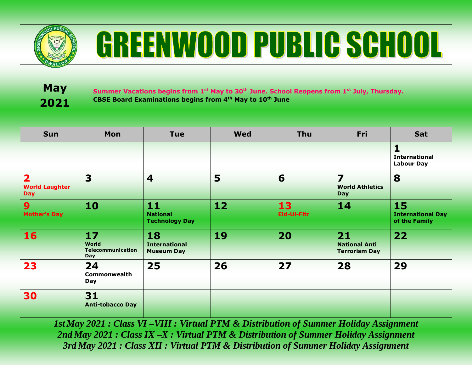

## **GREENWOOD PUBLIC SCHOOL**

## **May 2021**

**Summer Vacations begins from 1 st May to 30th June. School Reopens from 1st July, Thursday. CBSE Board Examinations begins from 4th May to 10th June**

| <b>Sun</b>                                                     | Mon                                            | <b>Tue</b>                                      | <b>Wed</b> | <b>Thu</b>        | Fri                                                             | <b>Sat</b>                                      |
|----------------------------------------------------------------|------------------------------------------------|-------------------------------------------------|------------|-------------------|-----------------------------------------------------------------|-------------------------------------------------|
|                                                                |                                                |                                                 |            |                   |                                                                 | <b>International</b><br><b>Labour Day</b>       |
| $\overline{\mathbf{2}}$<br><b>World Laughter</b><br><b>Day</b> | 3                                              | $\overline{\mathbf{4}}$                         | 5          | 6                 | $\overline{\mathbf{z}}$<br><b>World Athletics</b><br><b>Day</b> | 8                                               |
| 9<br><b>Mother's Day</b>                                       | 10                                             | 11<br><b>National</b><br><b>Technology Day</b>  | 12         | 13<br>Eid-Ul-Fitr | 14                                                              | 15<br><b>International Day</b><br>of the Family |
| <b>16</b>                                                      | 17<br>World<br><b>Telecommunication</b><br>Day | 18<br><b>International</b><br><b>Museum Day</b> | 19         | 20                | 21<br><b>National Anti</b><br><b>Terrorism Day</b>              | 22                                              |
| 23                                                             | 24<br><b>Commonwealth</b><br>Day               | 25                                              | 26         | 27                | 28                                                              | 29                                              |
| 30                                                             | 31<br><b>Anti-tobacco Day</b>                  |                                                 |            |                   |                                                                 |                                                 |

*1st May 2021 : Class VI –VIII : Virtual PTM & Distribution of Summer Holiday Assignment 2nd May 2021 : Class IX –X : Virtual PTM & Distribution of Summer Holiday Assignment 3rd May 2021 : Class XII : Virtual PTM & Distribution of Summer Holiday Assignment*